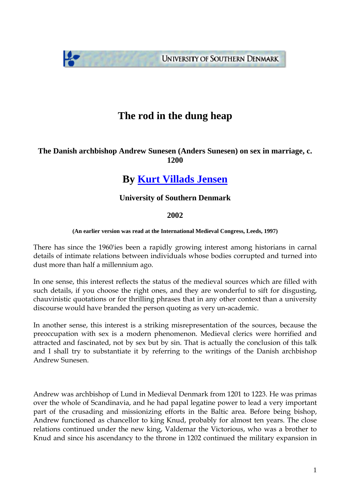**UNIVERSITY OF SOUTHERN DENMARK** 

# **The rod in the dung heap**

## **The Danish archbishop Andrew Sunesen (Anders Sunesen) on sex in marriage, c. 1200**

## **By [Kurt Villads Jensen](http://www.kurtvillads.dk)**

## **University of Southern Denmark**

#### **2002**

#### **(An earlier version was read at the International Medieval Congress, Leeds, 1997)**

There has since the 1960'ies been a rapidly growing interest among historians in carnal details of intimate relations between individuals whose bodies corrupted and turned into dust more than half a millennium ago.

In one sense, this interest reflects the status of the medieval sources which are filled with such details, if you choose the right ones, and they are wonderful to sift for disgusting, chauvinistic quotations or for thrilling phrases that in any other context than a university discourse would have branded the person quoting as very un-academic.

In another sense, this interest is a striking misrepresentation of the sources, because the preoccupation with sex is a modern phenomenon. Medieval clerics were horrified and attracted and fascinated, not by sex but by sin. That is actually the conclusion of this talk and I shall try to substantiate it by referring to the writings of the Danish archbishop Andrew Sunesen.

Andrew was archbishop of Lund in Medieval Denmark from 1201 to 1223. He was primas over the whole of Scandinavia, and he had papal legatine power to lead a very important part of the crusading and missionizing efforts in the Baltic area. Before being bishop, Andrew functioned as chancellor to king Knud, probably for almost ten years. The close relations continued under the new king, Valdemar the Victorious, who was a brother to Knud and since his ascendancy to the throne in 1202 continued the military expansion in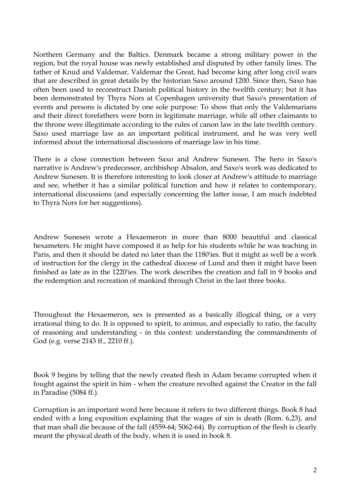Northern Germany and the Baltics. Denmark became a strong military power in the region, but the royal house was newly established and disputed by other family lines. The father of Knud and Valdemar, Valdemar the Great, had become king after long civil wars that are described in great details by the historian Saxo around 1200. Since then, Saxo has often been used to reconstruct Danish political history in the twelfth century; but it has been demonstrated by Thyra Nors at Copenhagen university that Saxo's presentation of events and persons is dictated by one sole purpose: To show that only the Valdemarians and their direct forefathers were born in legitimate marriage, while all other claimants to the throne were illegitimate according to the rules of canon law in the late twelfth century. Saxo used marriage law as an important political instrument, and he was very well informed about the international discussions of marriage law in his time.

There is a close connection between Saxo and Andrew Sunesen. The hero in Saxo's narrative is Andrew's predecessor, archbishop Absalon, and Saxo's work was dedicated to Andrew Sunesen. It is therefore interesting to look closer at Andrew's attitude to marriage and see, whether it has a similar political function and how it relates to contemporary, international discussions (and especially concerning the latter issue, I am much indebted to Thyra Nors for her suggestions).

Andrew Sunesen wrote a Hexaemeron in more than 8000 beautiful and classical hexameters. He might have composed it as help for his students while he was teaching in Paris, and then it should be dated no later than the 1180'ies. But it might as well be a work of instruction for the clergy in the cathedral diocese of Lund and then it might have been finished as late as in the 1220'ies. The work describes the creation and fall in 9 books and the redemption and recreation of mankind through Christ in the last three books.

Throughout the Hexaemeron, sex is presented as a basically illogical thing, or a very irrational thing to do. It is opposed to spirit, to animus, and especially to ratio, the faculty of reasoning and understanding - in this context: understanding the commandments of God (e.g. verse 2143 ff., 2210 ff.).

Book 9 begins by telling that the newly created flesh in Adam became corrupted when it fought against the spirit in him - when the creature revolted against the Creator in the fall in Paradise (5084 ff.).

Corruption is an important word here because it refers to two different things. Book 8 had ended with a long exposition explaining that the wages of sin is death (Rom. 6,23), and that man shall die because of the fall (4559-64; 5062-64). By corruption of the flesh is clearly meant the physical death of the body, when it is used in book 8.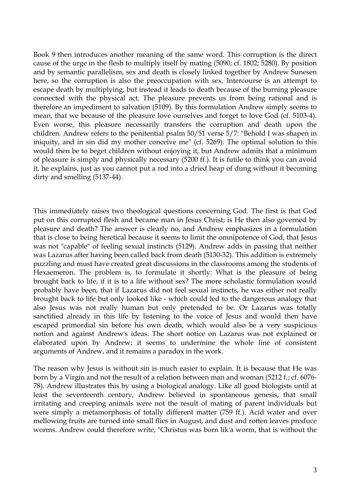Book 9 then introduces another meaning of the same word. This corruption is the direct cause of the urge in the flesh to multiply itself by mating (5090; cf. 1802; 5280). By position and by semantic parallelism, sex and death is closely linked together by Andrew Sunesen here, so the corruption is also the preoccupation with sex. Intercourse is an attempt to escape death by multiplying, but instead it leads to death because of the burning pleasure connected with the physical act. The pleasure prevents us from being rational and is therefore an impediment to salvation (5109). By this formulation Andrew simply seems to mean, that we because of the pleasure love ourselves and forget to love God (cf. 5103-4). Even worse, this pleasure necessarily transfers the corruption and death upon the children. Andrew refers to the penitential psalm 50/51 verse 5/7: "Behold I was shapen in iniquity, and in sin did my mother conceive me" (cf. 5269). The optimal solution to this would then be to beget children without enjoying it, but Andrew admits that a minimum of pleasure is simply and physically necessary (5200 ff.). It is futile to think you can avoid it, he explains, just as you cannot put a rod into a dried heap of dung without it becoming dirty and smelling (5137-44).

This immediately raises two theological questions concerning God. The first is that God put on this corrupted flesh and became man in Jesus Christ; is He then also governed by pleasure and death? The answer is clearly no, and Andrew emphasizes in a formulation that is close to being heretical because it seems to limit the omnipotence of God, that Jesus was not "capable" of feeling sexual instincts (5129). Andrew adds in passing that neither was Lazarus after having been called back from death (5130-32). This addition is extremely puzzling and must have created great discussions in the classrooms among the students of Hexaemeron. The problem is, to formulate it shortly: What is the pleasure of being brought back to life, if it is to a life without sex? The more scholastic formulation would probably have been, that if Lazarus did not feel sexual instincts, he was either not really brought back to life but only looked like - which could led to the dangerous analogy that also Jesus was not really human but only pretended to be. Or Lazarus was totally sanctified already in this life by listening to the voice of Jesus and would then have escaped primordial sin before his own death, which would also be a very suspicious notion and against Andrew's ideas. The short notice on Lazarus was not explained or elaborated upon by Andrew; it seems to undermine the whole line of consistent arguments of Andrew, and it remains a paradox in the work.

The reason why Jesus is without sin is much easier to explain. It is because that He was born by a Virgin and not the result of a relation between man and woman (5212 f.; cf. 6076- 78). Andrew illustrates this by using a biological analogy. Like all good biologists until at least the seventeenth century, Andrew believed in spontaneous genesis, that small irritating and creeping animals were not the result of mating of parent individuals but were simply a metamorphosis of totally different matter (759 ff.). Acid water and over mellowing fruits are turned into small flies in August, and dust and rotten leaves produce worms. Andrew could therefore write, "Christus was born lik'a worm, that is without the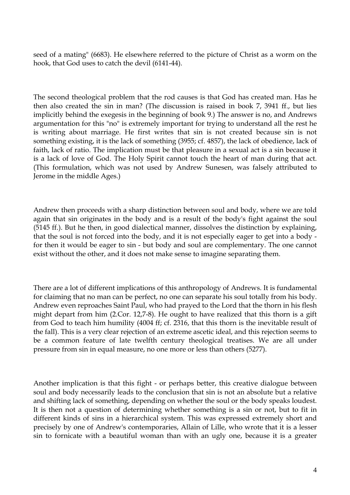seed of a mating" (6683). He elsewhere referred to the picture of Christ as a worm on the hook, that God uses to catch the devil (6141-44).

The second theological problem that the rod causes is that God has created man. Has he then also created the sin in man? (The discussion is raised in book 7, 3941 ff., but lies implicitly behind the exegesis in the beginning of book 9.) The answer is no, and Andrews argumentation for this "no" is extremely important for trying to understand all the rest he is writing about marriage. He first writes that sin is not created because sin is not something existing, it is the lack of something (3955; cf. 4857), the lack of obedience, lack of faith, lack of ratio. The implication must be that pleasure in a sexual act is a sin because it is a lack of love of God. The Holy Spirit cannot touch the heart of man during that act. (This formulation, which was not used by Andrew Sunesen, was falsely attributed to Jerome in the middle Ages.)

Andrew then proceeds with a sharp distinction between soul and body, where we are told again that sin originates in the body and is a result of the body's fight against the soul (5145 ff.). But he then, in good dialectical manner, dissolves the distinction by explaining, that the soul is not forced into the body, and it is not especially eager to get into a body for then it would be eager to sin - but body and soul are complementary. The one cannot exist without the other, and it does not make sense to imagine separating them.

There are a lot of different implications of this anthropology of Andrews. It is fundamental for claiming that no man can be perfect, no one can separate his soul totally from his body. Andrew even reproaches Saint Paul, who had prayed to the Lord that the thorn in his flesh might depart from him (2.Cor. 12,7-8). He ought to have realized that this thorn is a gift from God to teach him humility (4004 ff; cf. 2316, that this thorn is the inevitable result of the fall). This is a very clear rejection of an extreme ascetic ideal, and this rejection seems to be a common feature of late twelfth century theological treatises. We are all under pressure from sin in equal measure, no one more or less than others (5277).

Another implication is that this fight - or perhaps better, this creative dialogue between soul and body necessarily leads to the conclusion that sin is not an absolute but a relative and shifting lack of something, depending on whether the soul or the body speaks loudest. It is then not a question of determining whether something is a sin or not, but to fit in different kinds of sins in a hierarchical system. This was expressed extremely short and precisely by one of Andrew's contemporaries, Allain of Lille, who wrote that it is a lesser sin to fornicate with a beautiful woman than with an ugly one, because it is a greater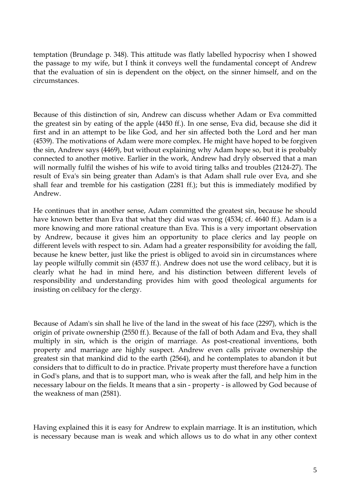temptation (Brundage p. 348). This attitude was flatly labelled hypocrisy when I showed the passage to my wife, but I think it conveys well the fundamental concept of Andrew that the evaluation of sin is dependent on the object, on the sinner himself, and on the circumstances.

Because of this distinction of sin, Andrew can discuss whether Adam or Eva committed the greatest sin by eating of the apple (4450 ff.). In one sense, Eva did, because she did it first and in an attempt to be like God, and her sin affected both the Lord and her man (4539). The motivations of Adam were more complex. He might have hoped to be forgiven the sin, Andrew says (4469), but without explaining why Adam hope so, but it is probably connected to another motive. Earlier in the work, Andrew had dryly observed that a man will normally fulfil the wishes of his wife to avoid tiring talks and troubles (2124-27). The result of Eva's sin being greater than Adam's is that Adam shall rule over Eva, and she shall fear and tremble for his castigation (2281 ff.); but this is immediately modified by Andrew.

He continues that in another sense, Adam committed the greatest sin, because he should have known better than Eva that what they did was wrong (4534; cf. 4640 ff.). Adam is a more knowing and more rational creature than Eva. This is a very important observation by Andrew, because it gives him an opportunity to place clerics and lay people on different levels with respect to sin. Adam had a greater responsibility for avoiding the fall, because he knew better, just like the priest is obliged to avoid sin in circumstances where lay people wilfully commit sin (4537 ff.). Andrew does not use the word celibacy, but it is clearly what he had in mind here, and his distinction between different levels of responsibility and understanding provides him with good theological arguments for insisting on celibacy for the clergy.

Because of Adam's sin shall he live of the land in the sweat of his face (2297), which is the origin of private ownership (2550 ff.). Because of the fall of both Adam and Eva, they shall multiply in sin, which is the origin of marriage. As post-creational inventions, both property and marriage are highly suspect. Andrew even calls private ownership the greatest sin that mankind did to the earth (2564), and he contemplates to abandon it but considers that to difficult to do in practice. Private property must therefore have a function in God's plans, and that is to support man, who is weak after the fall, and help him in the necessary labour on the fields. It means that a sin - property - is allowed by God because of the weakness of man (2581).

Having explained this it is easy for Andrew to explain marriage. It is an institution, which is necessary because man is weak and which allows us to do what in any other context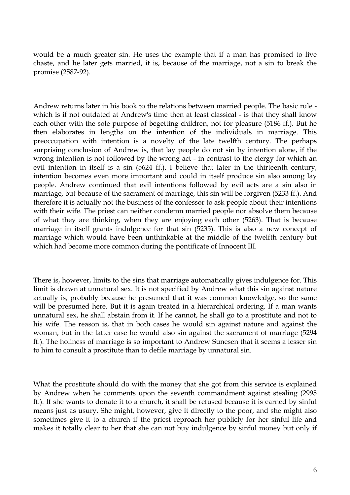would be a much greater sin. He uses the example that if a man has promised to live chaste, and he later gets married, it is, because of the marriage, not a sin to break the promise (2587-92).

Andrew returns later in his book to the relations between married people. The basic rule which is if not outdated at Andrew's time then at least classical - is that they shall know each other with the sole purpose of begetting children, not for pleasure (5186 ff.). But he then elaborates in lengths on the intention of the individuals in marriage. This preoccupation with intention is a novelty of the late twelfth century. The perhaps surprising conclusion of Andrew is, that lay people do not sin by intention alone, if the wrong intention is not followed by the wrong act - in contrast to the clergy for which an evil intention in itself is a sin (5624 ff.). I believe that later in the thirteenth century, intention becomes even more important and could in itself produce sin also among lay people. Andrew continued that evil intentions followed by evil acts are a sin also in marriage, but because of the sacrament of marriage, this sin will be forgiven (5233 ff.). And therefore it is actually not the business of the confessor to ask people about their intentions with their wife. The priest can neither condemn married people nor absolve them because of what they are thinking, when they are enjoying each other (5263). That is because marriage in itself grants indulgence for that sin (5235). This is also a new concept of marriage which would have been unthinkable at the middle of the twelfth century but which had become more common during the pontificate of Innocent III.

There is, however, limits to the sins that marriage automatically gives indulgence for. This limit is drawn at unnatural sex. It is not specified by Andrew what this sin against nature actually is, probably because he presumed that it was common knowledge, so the same will be presumed here. But it is again treated in a hierarchical ordering. If a man wants unnatural sex, he shall abstain from it. If he cannot, he shall go to a prostitute and not to his wife. The reason is, that in both cases he would sin against nature and against the woman, but in the latter case he would also sin against the sacrament of marriage (5294 ff.). The holiness of marriage is so important to Andrew Sunesen that it seems a lesser sin to him to consult a prostitute than to defile marriage by unnatural sin.

What the prostitute should do with the money that she got from this service is explained by Andrew when he comments upon the seventh commandment against stealing (2995 ff.). If she wants to donate it to a church, it shall be refused because it is earned by sinful means just as usury. She might, however, give it directly to the poor, and she might also sometimes give it to a church if the priest reproach her publicly for her sinful life and makes it totally clear to her that she can not buy indulgence by sinful money but only if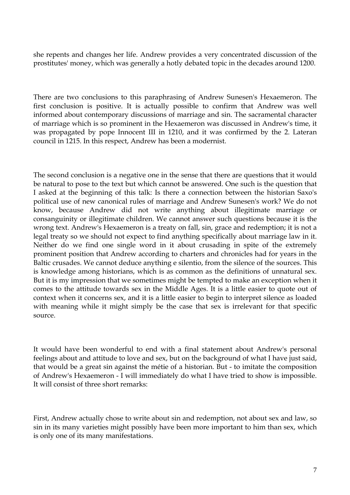she repents and changes her life. Andrew provides a very concentrated discussion of the prostitutes' money, which was generally a hotly debated topic in the decades around 1200.

There are two conclusions to this paraphrasing of Andrew Sunesen's Hexaemeron. The first conclusion is positive. It is actually possible to confirm that Andrew was well informed about contemporary discussions of marriage and sin. The sacramental character of marriage which is so prominent in the Hexaemeron was discussed in Andrew's time, it was propagated by pope Innocent III in 1210, and it was confirmed by the 2. Lateran council in 1215. In this respect, Andrew has been a modernist.

The second conclusion is a negative one in the sense that there are questions that it would be natural to pose to the text but which cannot be answered. One such is the question that I asked at the beginning of this talk: Is there a connection between the historian Saxo's political use of new canonical rules of marriage and Andrew Sunesen's work? We do not know, because Andrew did not write anything about illegitimate marriage or consanguinity or illegitimate children. We cannot answer such questions because it is the wrong text. Andrew's Hexaemeron is a treaty on fall, sin, grace and redemption; it is not a legal treaty so we should not expect to find anything specifically about marriage law in it. Neither do we find one single word in it about crusading in spite of the extremely prominent position that Andrew according to charters and chronicles had for years in the Baltic crusades. We cannot deduce anything e silentio, from the silence of the sources. This is knowledge among historians, which is as common as the definitions of unnatural sex. But it is my impression that we sometimes might be tempted to make an exception when it comes to the attitude towards sex in the Middle Ages. It is a little easier to quote out of context when it concerns sex, and it is a little easier to begin to interpret silence as loaded with meaning while it might simply be the case that sex is irrelevant for that specific source.

It would have been wonderful to end with a final statement about Andrew's personal feelings about and attitude to love and sex, but on the background of what I have just said, that would be a great sin against the métie of a historian. But - to imitate the composition of Andrew's Hexaemeron - I will immediately do what I have tried to show is impossible. It will consist of three short remarks:

First, Andrew actually chose to write about sin and redemption, not about sex and law, so sin in its many varieties might possibly have been more important to him than sex, which is only one of its many manifestations.